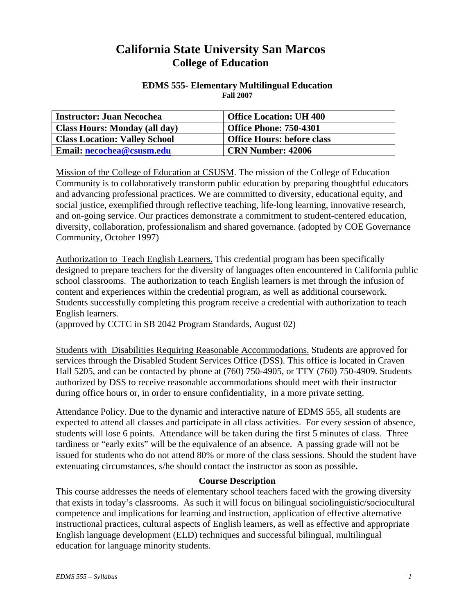# **California State University San Marcos College of Education**

### **EDMS 555- Elementary Multilingual Education Fall 2007**

| <b>Instructor: Juan Necochea</b>     | <b>Office Location: UH 400</b>    |
|--------------------------------------|-----------------------------------|
| <b>Class Hours: Monday (all day)</b> | <b>Office Phone: 750-4301</b>     |
| <b>Class Location: Valley School</b> | <b>Office Hours: before class</b> |
| Email: necochea@csusm.edu            | <b>CRN Number: 42006</b>          |

Mission of the College of Education at CSUSM. The mission of the College of Education Community is to collaboratively transform public education by preparing thoughtful educators and advancing professional practices. We are committed to diversity, educational equity, and social justice, exemplified through reflective teaching, life-long learning, innovative research, and on-going service. Our practices demonstrate a commitment to student-centered education, diversity, collaboration, professionalism and shared governance. (adopted by COE Governance Community, October 1997)

Authorization to Teach English Learners. This credential program has been specifically designed to prepare teachers for the diversity of languages often encountered in California public school classrooms. The authorization to teach English learners is met through the infusion of content and experiences within the credential program, as well as additional coursework. Students successfully completing this program receive a credential with authorization to teach English learners.

(approved by CCTC in SB 2042 Program Standards, August 02)

Students with Disabilities Requiring Reasonable Accommodations. Students are approved for services through the Disabled Student Services Office (DSS). This office is located in Craven Hall 5205, and can be contacted by phone at (760) 750-4905, or TTY (760) 750-4909. Students authorized by DSS to receive reasonable accommodations should meet with their instructor during office hours or, in order to ensure confidentiality, in a more private setting.

Attendance Policy. Due to the dynamic and interactive nature of EDMS 555, all students are expected to attend all classes and participate in all class activities. For every session of absence, students will lose 6 points. Attendance will be taken during the first 5 minutes of class. Three tardiness or "early exits" will be the equivalence of an absence. A passing grade will not be issued for students who do not attend 80% or more of the class sessions. Should the student have extenuating circumstances, s/he should contact the instructor as soon as possible**.**

### **Course Description**

This course addresses the needs of elementary school teachers faced with the growing diversity that exists in today's classrooms. As such it will focus on bilingual sociolinguistic/sociocultural competence and implications for learning and instruction, application of effective alternative instructional practices, cultural aspects of English learners, as well as effective and appropriate English language development (ELD) techniques and successful bilingual, multilingual education for language minority students.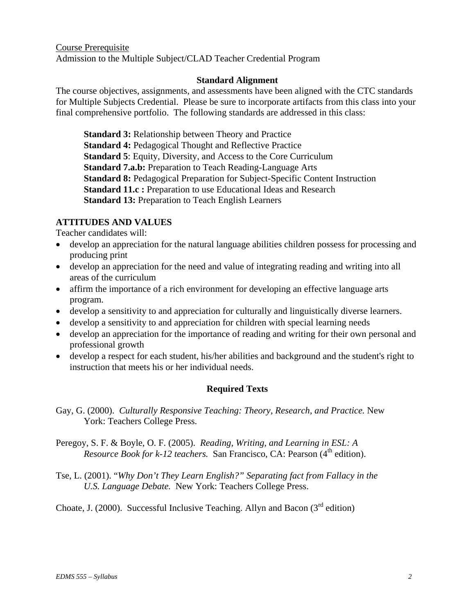Course Prerequisite Admission to the Multiple Subject/CLAD Teacher Credential Program

### **Standard Alignment**

The course objectives, assignments, and assessments have been aligned with the CTC standards for Multiple Subjects Credential. Please be sure to incorporate artifacts from this class into your final comprehensive portfolio. The following standards are addressed in this class:

**Standard 3: Relationship between Theory and Practice Standard 4: Pedagogical Thought and Reflective Practice Standard 5**: Equity, Diversity, and Access to the Core Curriculum **Standard 7.a.b:** Preparation to Teach Reading-Language Arts **Standard 8:** Pedagogical Preparation for Subject-Specific Content Instruction **Standard 11.c :** Preparation to use Educational Ideas and Research **Standard 13:** Preparation to Teach English Learners

### **ATTITUDES AND VALUES**

Teacher candidates will:

- develop an appreciation for the natural language abilities children possess for processing and producing print
- develop an appreciation for the need and value of integrating reading and writing into all areas of the curriculum
- affirm the importance of a rich environment for developing an effective language arts program.
- develop a sensitivity to and appreciation for culturally and linguistically diverse learners.
- develop a sensitivity to and appreciation for children with special learning needs
- develop an appreciation for the importance of reading and writing for their own personal and professional growth
- develop a respect for each student, his/her abilities and background and the student's right to instruction that meets his or her individual needs.

### **Required Texts**

- Gay, G. (2000). *Culturally Responsive Teaching: Theory, Research, and Practice.* New York: Teachers College Press.
- Peregoy, S. F. & Boyle, O. F. (2005). *Reading, Writing, and Learning in ESL: A Resource Book for k-12 teachers.* San Francisco, CA: Pearson (4<sup>th</sup> edition).
- Tse, L. (2001). "*Why Don't They Learn English?" Separating fact from Fallacy in the U.S. Language Debate.* New York: Teachers College Press.

Choate, J. (2000). Successful Inclusive Teaching. Allyn and Bacon ( $3<sup>rd</sup>$  edition)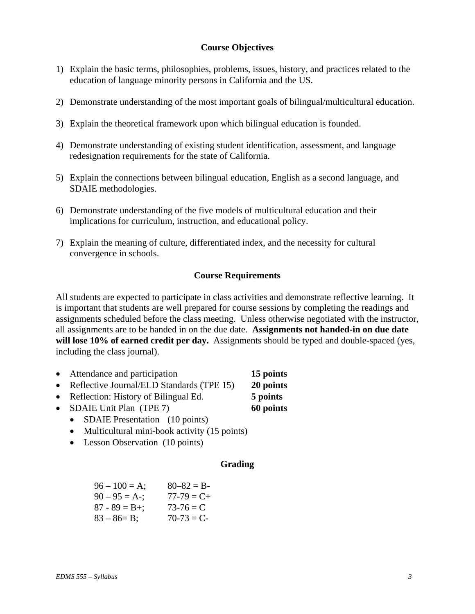### **Course Objectives**

- 1) Explain the basic terms, philosophies, problems, issues, history, and practices related to the education of language minority persons in California and the US.
- 2) Demonstrate understanding of the most important goals of bilingual/multicultural education.
- 3) Explain the theoretical framework upon which bilingual education is founded.
- 4) Demonstrate understanding of existing student identification, assessment, and language redesignation requirements for the state of California.
- 5) Explain the connections between bilingual education, English as a second language, and SDAIE methodologies.
- 6) Demonstrate understanding of the five models of multicultural education and their implications for curriculum, instruction, and educational policy.
- 7) Explain the meaning of culture, differentiated index, and the necessity for cultural convergence in schools.

#### **Course Requirements**

All students are expected to participate in class activities and demonstrate reflective learning. It is important that students are well prepared for course sessions by completing the readings and assignments scheduled before the class meeting. Unless otherwise negotiated with the instructor, all assignments are to be handed in on the due date. **Assignments not handed-in on due date will lose 10% of earned credit per day.** Assignments should be typed and double-spaced (yes, including the class journal).

| Attendance and participation              | 15 points  |
|-------------------------------------------|------------|
| Reflective Journal/ELD Standards (TPE 15) | 20 points  |
| ורדו יוירדי ידד ישר                       | __________ |

- Reflection: History of Bilingual Ed. **5 points**
- SDAIE Unit Plan (TPE 7) **60 points**
	- SDAIE Presentation (10 points)
	- Multicultural mini-book activity (15 points)
	- Lesson Observation (10 points)

#### **Grading**

| $96 - 100 = A$ ;  | $80 - 82 = B$   |
|-------------------|-----------------|
| $90 - 95 = A -$ ; | $77 - 79 = C +$ |
| $87 - 89 = B +$ ; | $73 - 76 = C$   |
| $83 - 86 = B$ ;   | $70-73 = C$     |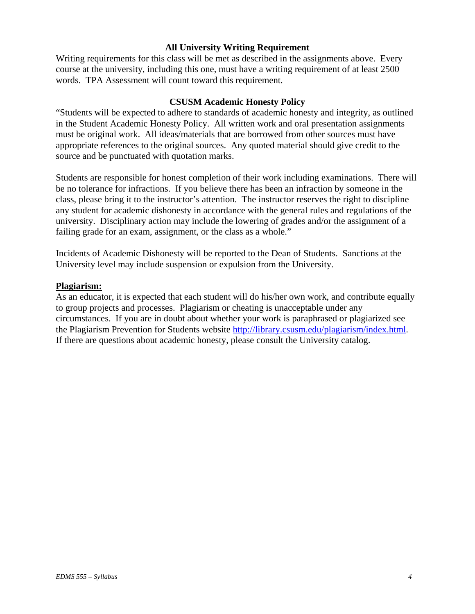### **All University Writing Requirement**

Writing requirements for this class will be met as described in the assignments above. Every course at the university, including this one, must have a writing requirement of at least 2500 words. TPA Assessment will count toward this requirement.

#### **CSUSM Academic Honesty Policy**

"Students will be expected to adhere to standards of academic honesty and integrity, as outlined in the Student Academic Honesty Policy. All written work and oral presentation assignments must be original work. All ideas/materials that are borrowed from other sources must have appropriate references to the original sources. Any quoted material should give credit to the source and be punctuated with quotation marks.

Students are responsible for honest completion of their work including examinations. There will be no tolerance for infractions. If you believe there has been an infraction by someone in the class, please bring it to the instructor's attention. The instructor reserves the right to discipline any student for academic dishonesty in accordance with the general rules and regulations of the university. Disciplinary action may include the lowering of grades and/or the assignment of a failing grade for an exam, assignment, or the class as a whole."

Incidents of Academic Dishonesty will be reported to the Dean of Students. Sanctions at the University level may include suspension or expulsion from the University.

#### **Plagiarism:**

As an educator, it is expected that each student will do his/her own work, and contribute equally to group projects and processes. Plagiarism or cheating is unacceptable under any circumstances. If you are in doubt about whether your work is paraphrased or plagiarized see the Plagiarism Prevention for Students website http://library.csusm.edu/plagiarism/index.html. If there are questions about academic honesty, please consult the University catalog.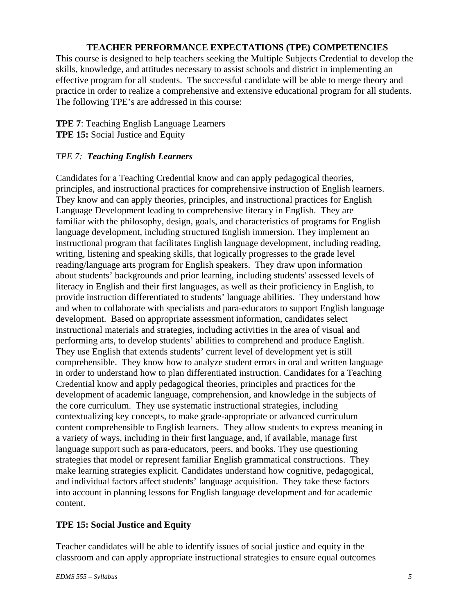### **TEACHER PERFORMANCE EXPECTATIONS (TPE) COMPETENCIES**

This course is designed to help teachers seeking the Multiple Subjects Credential to develop the skills, knowledge, and attitudes necessary to assist schools and district in implementing an effective program for all students. The successful candidate will be able to merge theory and practice in order to realize a comprehensive and extensive educational program for all students. The following TPE's are addressed in this course:

### **TPE 7**: Teaching English Language Learners **TPE 15:** Social Justice and Equity

### *TPE 7: Teaching English Learners*

Candidates for a Teaching Credential know and can apply pedagogical theories, principles, and instructional practices for comprehensive instruction of English learners. They know and can apply theories, principles, and instructional practices for English Language Development leading to comprehensive literacy in English. They are familiar with the philosophy, design, goals, and characteristics of programs for English language development, including structured English immersion. They implement an instructional program that facilitates English language development, including reading, writing, listening and speaking skills, that logically progresses to the grade level reading/language arts program for English speakers. They draw upon information about students' backgrounds and prior learning, including students' assessed levels of literacy in English and their first languages, as well as their proficiency in English, to provide instruction differentiated to students' language abilities. They understand how and when to collaborate with specialists and para-educators to support English language development. Based on appropriate assessment information, candidates select instructional materials and strategies, including activities in the area of visual and performing arts, to develop students' abilities to comprehend and produce English. They use English that extends students' current level of development yet is still comprehensible. They know how to analyze student errors in oral and written language in order to understand how to plan differentiated instruction. Candidates for a Teaching Credential know and apply pedagogical theories, principles and practices for the development of academic language, comprehension, and knowledge in the subjects of the core curriculum. They use systematic instructional strategies, including contextualizing key concepts, to make grade-appropriate or advanced curriculum content comprehensible to English learners. They allow students to express meaning in a variety of ways, including in their first language, and, if available, manage first language support such as para-educators, peers, and books. They use questioning strategies that model or represent familiar English grammatical constructions. They make learning strategies explicit. Candidates understand how cognitive, pedagogical, and individual factors affect students' language acquisition. They take these factors into account in planning lessons for English language development and for academic content.

### **TPE 15: Social Justice and Equity**

Teacher candidates will be able to identify issues of social justice and equity in the classroom and can apply appropriate instructional strategies to ensure equal outcomes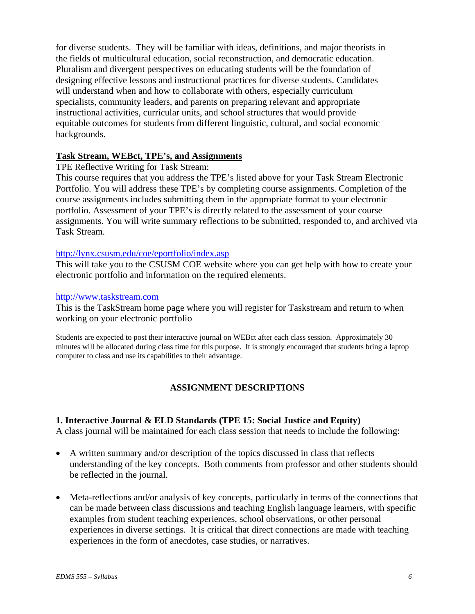for diverse students. They will be familiar with ideas, definitions, and major theorists in the fields of multicultural education, social reconstruction, and democratic education. Pluralism and divergent perspectives on educating students will be the foundation of designing effective lessons and instructional practices for diverse students. Candidates will understand when and how to collaborate with others, especially curriculum specialists, community leaders, and parents on preparing relevant and appropriate instructional activities, curricular units, and school structures that would provide equitable outcomes for students from different linguistic, cultural, and social economic backgrounds.

### **Task Stream, WEBct, TPE's, and Assignments**

TPE Reflective Writing for Task Stream:

This course requires that you address the TPE's listed above for your Task Stream Electronic Portfolio. You will address these TPE's by completing course assignments. Completion of the course assignments includes submitting them in the appropriate format to your electronic portfolio. Assessment of your TPE's is directly related to the assessment of your course assignments. You will write summary reflections to be submitted, responded to, and archived via Task Stream.

#### http://lynx.csusm.edu/coe/eportfolio/index.asp

This will take you to the CSUSM COE website where you can get help with how to create your electronic portfolio and information on the required elements.

#### http://www.taskstream.com

This is the TaskStream home page where you will register for Taskstream and return to when working on your electronic portfolio

Students are expected to post their interactive journal on WEBct after each class session. Approximately 30 minutes will be allocated during class time for this purpose. It is strongly encouraged that students bring a laptop computer to class and use its capabilities to their advantage.

### **ASSIGNMENT DESCRIPTIONS**

#### **1. Interactive Journal & ELD Standards (TPE 15: Social Justice and Equity)**

A class journal will be maintained for each class session that needs to include the following:

- A written summary and/or description of the topics discussed in class that reflects understanding of the key concepts. Both comments from professor and other students should be reflected in the journal.
- Meta-reflections and/or analysis of key concepts, particularly in terms of the connections that can be made between class discussions and teaching English language learners, with specific examples from student teaching experiences, school observations, or other personal experiences in diverse settings. It is critical that direct connections are made with teaching experiences in the form of anecdotes, case studies, or narratives.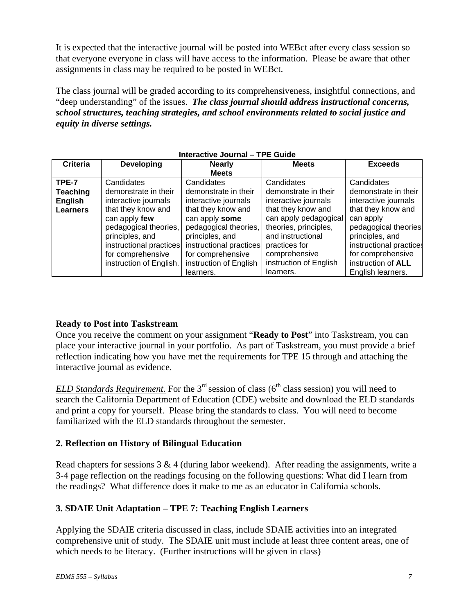It is expected that the interactive journal will be posted into WEBct after every class session so that everyone everyone in class will have access to the information. Please be aware that other assignments in class may be required to be posted in WEBct.

The class journal will be graded according to its comprehensiveness, insightful connections, and "deep understanding" of the issues. *The class journal should address instructional concerns, school structures, teaching strategies, and school environments related to social justice and equity in diverse settings.* 

| $m_{\rm G}$ active JOUING $-$ IFL Guide |                         |                         |                        |                         |
|-----------------------------------------|-------------------------|-------------------------|------------------------|-------------------------|
| <b>Criteria</b>                         | <b>Developing</b>       | <b>Nearly</b>           | <b>Meets</b>           | <b>Exceeds</b>          |
|                                         |                         | <b>Meets</b>            |                        |                         |
| TPE-7                                   | Candidates              | Candidates              | Candidates             | Candidates              |
| <b>Teaching</b>                         | demonstrate in their    | demonstrate in their    | demonstrate in their   | demonstrate in their    |
| <b>English</b>                          | interactive journals    | interactive journals    | interactive journals   | interactive journals    |
| <b>Learners</b>                         | that they know and      | that they know and      | that they know and     | that they know and      |
|                                         | can apply few           | can apply some          | can apply pedagogical  | can apply               |
|                                         | pedagogical theories,   | pedagogical theories,   | theories, principles,  | pedagogical theories    |
|                                         | principles, and         | principles, and         | and instructional      | principles, and         |
|                                         | instructional practices | instructional practices | practices for          | instructional practices |
|                                         | for comprehensive       | for comprehensive       | comprehensive          | for comprehensive       |
|                                         | instruction of English. | instruction of English  | instruction of English | instruction of ALL      |
|                                         |                         | learners.               | learners.              | English learners.       |

#### **Interactive Journal – TPE Guide**

### **Ready to Post into Taskstream**

Once you receive the comment on your assignment "**Ready to Post**" into Taskstream, you can place your interactive journal in your portfolio. As part of Taskstream, you must provide a brief reflection indicating how you have met the requirements for TPE 15 through and attaching the interactive journal as evidence.

*ELD Standards Requirement.* For the  $3<sup>rd</sup>$  session of class ( $6<sup>th</sup>$  class session) you will need to search the California Department of Education (CDE) website and download the ELD standards and print a copy for yourself. Please bring the standards to class. You will need to become familiarized with the ELD standards throughout the semester.

### **2. Reflection on History of Bilingual Education**

Read chapters for sessions  $3 \& 4$  (during labor weekend). After reading the assignments, write a 3-4 page reflection on the readings focusing on the following questions: What did I learn from the readings? What difference does it make to me as an educator in California schools.

### **3. SDAIE Unit Adaptation – TPE 7: Teaching English Learners**

Applying the SDAIE criteria discussed in class, include SDAIE activities into an integrated comprehensive unit of study. The SDAIE unit must include at least three content areas, one of which needs to be literacy. (Further instructions will be given in class)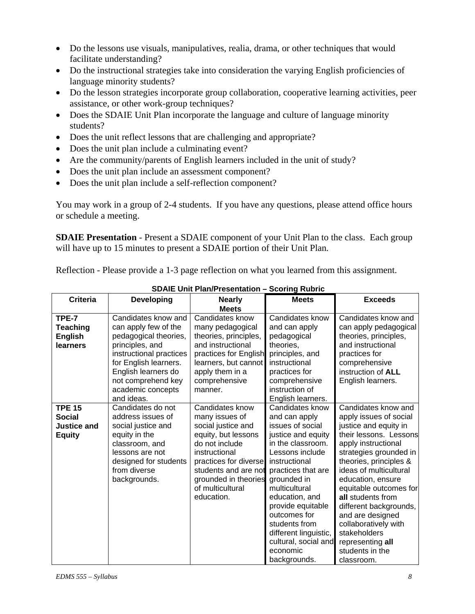- Do the lessons use visuals, manipulatives, realia, drama, or other techniques that would facilitate understanding?
- Do the instructional strategies take into consideration the varying English proficiencies of language minority students?
- Do the lesson strategies incorporate group collaboration, cooperative learning activities, peer assistance, or other work-group techniques?
- Does the SDAIE Unit Plan incorporate the language and culture of language minority students?
- Does the unit reflect lessons that are challenging and appropriate?
- Does the unit plan include a culminating event?
- Are the community/parents of English learners included in the unit of study?
- Does the unit plan include an assessment component?
- Does the unit plan include a self-reflection component?

You may work in a group of 2-4 students. If you have any questions, please attend office hours or schedule a meeting.

**SDAIE Presentation** - Present a SDAIE component of your Unit Plan to the class. Each group will have up to 15 minutes to present a SDAIE portion of their Unit Plan*.*

Reflection - Please provide a 1-3 page reflection on what you learned from this assignment.

| <b>Criteria</b>    | <b>Developing</b>       | <b>Nearly</b>         | <b>Meets</b>          | <b>Exceeds</b>         |
|--------------------|-------------------------|-----------------------|-----------------------|------------------------|
|                    |                         | <b>Meets</b>          |                       |                        |
| TPE-7              | Candidates know and     | Candidates know       | Candidates know       | Candidates know and    |
| <b>Teaching</b>    | can apply few of the    | many pedagogical      | and can apply         | can apply pedagogical  |
| <b>English</b>     | pedagogical theories,   | theories, principles, | pedagogical           | theories, principles,  |
| learners           | principles, and         | and instructional     | theories,             | and instructional      |
|                    | instructional practices | practices for English | principles, and       | practices for          |
|                    | for English learners.   | learners, but cannot  | instructional         | comprehensive          |
|                    | English learners do     | apply them in a       | practices for         | instruction of ALL     |
|                    | not comprehend key      | comprehensive         | comprehensive         | English learners.      |
|                    | academic concepts       | manner.               | instruction of        |                        |
|                    | and ideas.              |                       | English learners.     |                        |
| <b>TPE 15</b>      | Candidates do not       | Candidates know       | Candidates know       | Candidates know and    |
| <b>Social</b>      | address issues of       | many issues of        | and can apply         | apply issues of social |
| <b>Justice and</b> | social justice and      | social justice and    | issues of social      | justice and equity in  |
| <b>Equity</b>      | equity in the           | equity, but lessons   | justice and equity    | their lessons. Lessons |
|                    | classroom, and          | do not include        | in the classroom.     | apply instructional    |
|                    | lessons are not         | instructional         | Lessons include       | strategies grounded in |
|                    | designed for students   | practices for diverse | instructional         | theories, principles & |
|                    | from diverse            | students and are not  | practices that are    | ideas of multicultural |
|                    | backgrounds.            | grounded in theories  | grounded in           | education, ensure      |
|                    |                         | of multicultural      | multicultural         | equitable outcomes for |
|                    |                         | education.            | education, and        | all students from      |
|                    |                         |                       | provide equitable     | different backgrounds, |
|                    |                         |                       | outcomes for          | and are designed       |
|                    |                         |                       | students from         | collaboratively with   |
|                    |                         |                       | different linguistic, | stakeholders           |
|                    |                         |                       | cultural, social and  | representing all       |
|                    |                         |                       | economic              | students in the        |
|                    |                         |                       | backgrounds.          | classroom.             |

**SDAIE Unit Plan/Presentation – Scoring Rubric**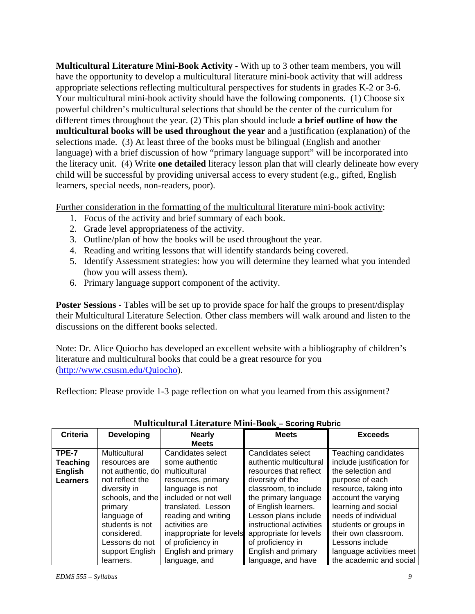**Multicultural Literature Mini-Book Activity** - With up to 3 other team members, you will have the opportunity to develop a multicultural literature mini-book activity that will address appropriate selections reflecting multicultural perspectives for students in grades K-2 or 3-6. Your multicultural mini-book activity should have the following components. (1) Choose six powerful children's multicultural selections that should be the center of the curriculum for different times throughout the year. (2) This plan should include **a brief outline of how the multicultural books will be used throughout the year** and a justification (explanation) of the selections made. (3) At least three of the books must be bilingual (English and another language) with a brief discussion of how "primary language support" will be incorporated into the literacy unit. (4) Write **one detailed** literacy lesson plan that will clearly delineate how every child will be successful by providing universal access to every student (e.g., gifted, English learners, special needs, non-readers, poor).

Further consideration in the formatting of the multicultural literature mini-book activity:

- 1. Focus of the activity and brief summary of each book.
- 2. Grade level appropriateness of the activity.
- 3. Outline/plan of how the books will be used throughout the year.
- 4. Reading and writing lessons that will identify standards being covered.
- 5. Identify Assessment strategies: how you will determine they learned what you intended (how you will assess them).
- 6. Primary language support component of the activity.

**Poster Sessions -** Tables will be set up to provide space for half the groups to present/display their Multicultural Literature Selection. Other class members will walk around and listen to the discussions on the different books selected.

Note: Dr. Alice Quiocho has developed an excellent website with a bibliography of children's literature and multicultural books that could be a great resource for you (http://www.csusm.edu/Quiocho).

Reflection: Please provide 1-3 page reflection on what you learned from this assignment?

|                 | Mannculturul Enterature Milli Door - Ooonna Rubno |                          |                          |                           |
|-----------------|---------------------------------------------------|--------------------------|--------------------------|---------------------------|
| <b>Criteria</b> | <b>Developing</b>                                 | <b>Nearly</b>            | <b>Meets</b>             | <b>Exceeds</b>            |
|                 |                                                   | <b>Meets</b>             |                          |                           |
| TPE-7           | Multicultural                                     | Candidates select        | Candidates select        | Teaching candidates       |
| <b>Teaching</b> | resources are                                     | some authentic           | authentic multicultural  | include justification for |
| <b>English</b>  | not authentic, do                                 | multicultural            | resources that reflect   | the selection and         |
| <b>Learners</b> | not reflect the                                   | resources, primary       | diversity of the         | purpose of each           |
|                 | diversity in                                      | language is not          | classroom, to include    | resource, taking into     |
|                 | schools, and the                                  | included or not well     | the primary language     | account the varying       |
|                 | primary                                           | translated. Lesson       | of English learners.     | learning and social       |
|                 | language of                                       | reading and writing      | Lesson plans include     | needs of individual       |
|                 | students is not                                   | activities are           | instructional activities | students or groups in     |
|                 | considered.                                       | inappropriate for levels | appropriate for levels   | their own classroom.      |
|                 | Lessons do not                                    | of proficiency in        | of proficiency in        | Lessons include           |
|                 | support English                                   | English and primary      | English and primary      | language activities meet  |
|                 | learners.                                         | language, and            | language, and have       | the academic and social   |

### **Multicultural Literature Mini-Book – Scoring Rubric**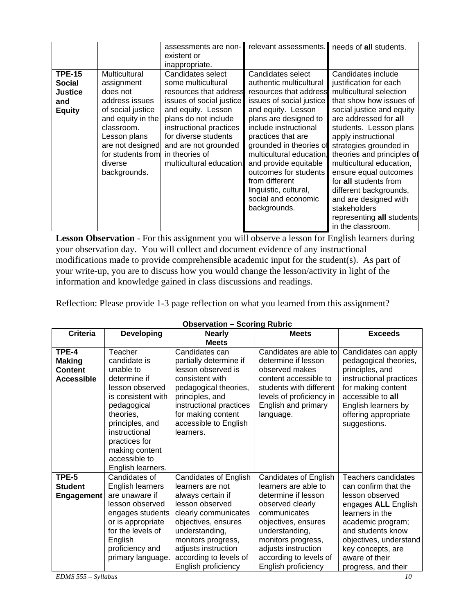|                                                                          |                                                                                                                                                                                                       | assessments are non-<br>existent or<br>inappropriate.                                                                                                                                                                                                                | relevant assessments.                                                                                                                                                                                                                                                                                                                                                                       | needs of all students.                                                                                                                                                                                                                                                                                                                                                                                                                                               |
|--------------------------------------------------------------------------|-------------------------------------------------------------------------------------------------------------------------------------------------------------------------------------------------------|----------------------------------------------------------------------------------------------------------------------------------------------------------------------------------------------------------------------------------------------------------------------|---------------------------------------------------------------------------------------------------------------------------------------------------------------------------------------------------------------------------------------------------------------------------------------------------------------------------------------------------------------------------------------------|----------------------------------------------------------------------------------------------------------------------------------------------------------------------------------------------------------------------------------------------------------------------------------------------------------------------------------------------------------------------------------------------------------------------------------------------------------------------|
| <b>TPE-15</b><br><b>Social</b><br><b>Justice</b><br>and<br><b>Equity</b> | Multicultural<br>assignment<br>does not<br>address issues<br>of social justice<br>and equity in the<br>classroom.<br>Lesson plans<br>are not designed<br>for students from<br>diverse<br>backgrounds. | Candidates select<br>some multicultural<br>resources that address<br>issues of social justice<br>and equity. Lesson<br>plans do not include<br>instructional practices<br>for diverse students<br>and are not grounded<br>in theories of<br>multicultural education. | Candidates select<br>authentic multicultural<br>resources that address<br>issues of social justice<br>and equity. Lesson<br>plans are designed to<br>include instructional<br>practices that are<br>grounded in theories of<br>multicultural education.<br>and provide equitable<br>outcomes for students<br>from different<br>linguistic, cultural,<br>social and economic<br>backgrounds. | Candidates include<br>justification for each<br>multicultural selection<br>that show how issues of<br>social justice and equity<br>are addressed for all<br>students. Lesson plans<br>apply instructional<br>strategies grounded in<br>theories and principles of<br>multicultural education,<br>ensure equal outcomes<br>for all students from<br>different backgrounds,<br>and are designed with<br>stakeholders<br>representing all students<br>in the classroom. |

**Lesson Observation** *-* For this assignment you will observe a lesson for English learners during your observation day. You will collect and document evidence of any instructional modifications made to provide comprehensible academic input for the student(s). As part of your write-up, you are to discuss how you would change the lesson/activity in light of the information and knowledge gained in class discussions and readings.

Reflection: Please provide 1-3 page reflection on what you learned from this assignment?

| <b>Criteria</b>   |                    |                         | <b>Meets</b>                 | <b>Exceeds</b>          |
|-------------------|--------------------|-------------------------|------------------------------|-------------------------|
|                   | <b>Developing</b>  | <b>Nearly</b>           |                              |                         |
|                   |                    | <b>Meets</b>            |                              |                         |
| <b>TPE-4</b>      | Teacher            | Candidates can          | Candidates are able to       | Candidates can apply    |
| <b>Making</b>     | candidate is       | partially determine if  | determine if lesson          | pedagogical theories,   |
| Content           | unable to          | lesson observed is      | observed makes               | principles, and         |
| <b>Accessible</b> | determine if       | consistent with         | content accessible to        | instructional practices |
|                   | lesson observed    | pedagogical theories,   | students with different      | for making content      |
|                   | is consistent with | principles, and         | levels of proficiency in     | accessible to all       |
|                   | pedagogical        | instructional practices | English and primary          | English learners by     |
|                   | theories,          | for making content      |                              |                         |
|                   |                    |                         | language.                    | offering appropriate    |
|                   | principles, and    | accessible to English   |                              | suggestions.            |
|                   | instructional      | learners.               |                              |                         |
|                   | practices for      |                         |                              |                         |
|                   | making content     |                         |                              |                         |
|                   | accessible to      |                         |                              |                         |
|                   | English learners.  |                         |                              |                         |
| TPE-5             | Candidates of      | Candidates of English   | <b>Candidates of English</b> | Teachers candidates     |
| <b>Student</b>    | English learners   | learners are not        | learners are able to         | can confirm that the    |
| <b>Engagement</b> | are unaware if     | always certain if       | determine if lesson          | lesson observed         |
|                   | lesson observed    | lesson observed         | observed clearly             | engages ALL English     |
|                   | engages students   | clearly communicates    | communicates                 | learners in the         |
|                   | or is appropriate  | objectives, ensures     | objectives, ensures          | academic program;       |
|                   | for the levels of  | understanding,          | understanding,               | and students know       |
|                   | English            | monitors progress,      | monitors progress,           | objectives, understand  |
|                   | proficiency and    | adjusts instruction     | adjusts instruction          | key concepts, are       |
|                   | primary language.  | according to levels of  | according to levels of       | aware of their          |
|                   |                    | English proficiency     | English proficiency          | progress, and their     |

#### **Observation – Scoring Rubric**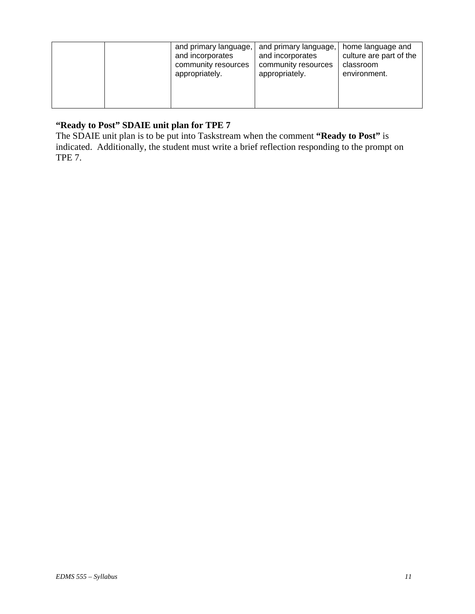|  | and primary language,<br>and incorporates<br>community resources<br>appropriately. | and primary language,<br>and incorporates<br>community resources<br>appropriately. | home language and<br>culture are part of the<br>classroom<br>environment. |
|--|------------------------------------------------------------------------------------|------------------------------------------------------------------------------------|---------------------------------------------------------------------------|
|  |                                                                                    |                                                                                    |                                                                           |

### **"Ready to Post" SDAIE unit plan for TPE 7**

The SDAIE unit plan is to be put into Taskstream when the comment **"Ready to Post"** is indicated. Additionally, the student must write a brief reflection responding to the prompt on TPE 7.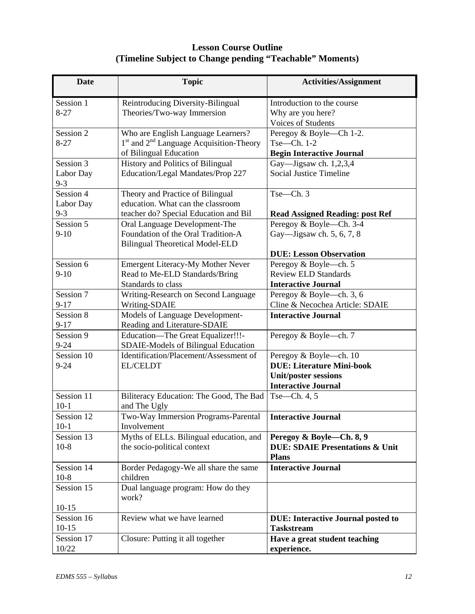## **Lesson Course Outline (Timeline Subject to Change pending "Teachable" Moments)**

| <b>Date</b>                       | <b>Topic</b>                                                                                                   | <b>Activities/Assignment</b>                                                                                            |
|-----------------------------------|----------------------------------------------------------------------------------------------------------------|-------------------------------------------------------------------------------------------------------------------------|
| Session 1<br>$8 - 27$             | Reintroducing Diversity-Bilingual<br>Theories/Two-way Immersion                                                | Introduction to the course<br>Why are you here?<br>Voices of Students                                                   |
| Session 2<br>$8 - 27$             | Who are English Language Learners?<br>$1st$ and $2nd$ Language Acquisition-Theory<br>of Bilingual Education    | Peregoy & Boyle—Ch 1-2.<br>$Tse—Ch. 1-2$<br><b>Begin Interactive Journal</b>                                            |
| Session 3<br>Labor Day<br>$9 - 3$ | <b>History and Politics of Bilingual</b><br>Education/Legal Mandates/Prop 227                                  | Gay-Jigsaw ch. 1,2,3,4<br><b>Social Justice Timeline</b>                                                                |
| Session 4<br>Labor Day<br>$9 - 3$ | Theory and Practice of Bilingual<br>education. What can the classroom<br>teacher do? Special Education and Bil | $Tse$ -Ch. 3<br><b>Read Assigned Reading: post Ref</b>                                                                  |
| Session 5<br>$9-10$               | Oral Language Development-The<br>Foundation of the Oral Tradition-A<br><b>Bilingual Theoretical Model-ELD</b>  | Peregoy & Boyle-Ch. 3-4<br>Gay-Jigsaw ch. 5, 6, 7, 8<br><b>DUE: Lesson Observation</b>                                  |
| Session 6<br>$9-10$               | <b>Emergent Literacy-My Mother Never</b><br>Read to Me-ELD Standards/Bring<br>Standards to class               | Peregoy & Boyle-ch. 5<br><b>Review ELD Standards</b><br><b>Interactive Journal</b>                                      |
| Session 7<br>$9 - 17$             | Writing-Research on Second Language<br>Writing-SDAIE                                                           | Peregoy & Boyle-ch. 3, 6<br>Cline & Necochea Article: SDAIE                                                             |
| Session 8<br>$9 - 17$             | Models of Language Development-<br>Reading and Literature-SDAIE                                                | <b>Interactive Journal</b>                                                                                              |
| Session 9<br>$9 - 24$             | Education-The Great Equalizer!!!-<br>SDAIE-Models of Bilingual Education                                       | Peregoy & Boyle-ch. 7                                                                                                   |
| Session 10<br>$9 - 24$            | Identification/Placement/Assessment of<br><b>EL/CELDT</b>                                                      | Peregoy & Boyle-ch. 10<br><b>DUE: Literature Mini-book</b><br><b>Unit/poster sessions</b><br><b>Interactive Journal</b> |
| Session 11<br>$10-1$              | Biliteracy Education: The Good, The Bad<br>and The Ugly                                                        | Tse-Ch. 4, 5                                                                                                            |
| Session 12<br>$10-1$              | Two-Way Immersion Programs-Parental<br>Involvement                                                             | <b>Interactive Journal</b>                                                                                              |
| Session 13<br>$10-8$              | Myths of ELLs. Bilingual education, and<br>the socio-political context                                         | Peregoy & Boyle-Ch. 8, 9<br><b>DUE: SDAIE Presentations &amp; Unit</b><br><b>Plans</b>                                  |
| Session 14<br>$10-8$              | Border Pedagogy-We all share the same<br>children                                                              | <b>Interactive Journal</b>                                                                                              |
| Session 15<br>$10-15$             | Dual language program: How do they<br>work?                                                                    |                                                                                                                         |
| Session 16<br>$10-15$             | Review what we have learned                                                                                    | <b>DUE: Interactive Journal posted to</b><br><b>Taskstream</b>                                                          |
| Session 17<br>10/22               | Closure: Putting it all together                                                                               | Have a great student teaching<br>experience.                                                                            |